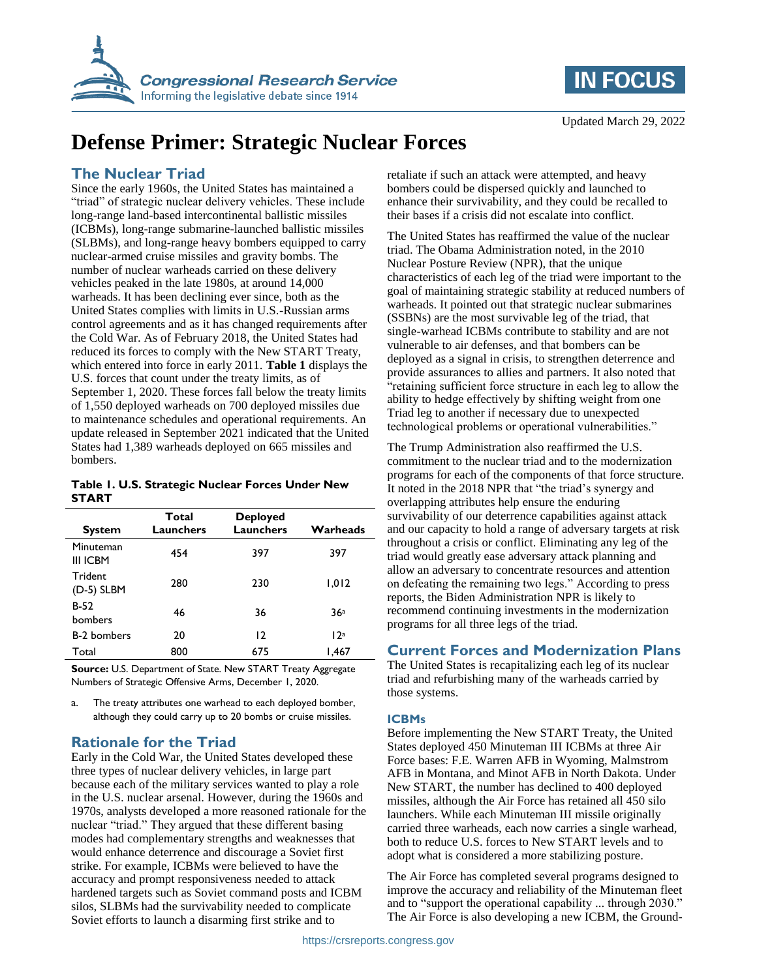



# **Defense Primer: Strategic Nuclear Forces**

### **The Nuclear Triad**

Since the early 1960s, the United States has maintained a "triad" of strategic nuclear delivery vehicles. These include long-range land-based intercontinental ballistic missiles (ICBMs), long-range submarine-launched ballistic missiles (SLBMs), and long-range heavy bombers equipped to carry nuclear-armed cruise missiles and gravity bombs. The number of nuclear warheads carried on these delivery vehicles peaked in the late 1980s, at around 14,000 warheads. It has been declining ever since, both as the United States complies with limits in U.S.-Russian arms control agreements and as it has changed requirements after the Cold War. As of February 2018, the United States had reduced its forces to comply with the New START Treaty, which entered into force in early 2011. **Table 1** displays the U.S. forces that count under the treaty limits, as of September 1, 2020. These forces fall below the treaty limits of 1,550 deployed warheads on 700 deployed missiles due to maintenance schedules and operational requirements. An update released in September 2021 indicated that the United States had 1,389 warheads deployed on 665 missiles and bombers.

#### **Table 1. U.S. Strategic Nuclear Forces Under New START**

| <b>System</b>         | Total<br>Launchers | <b>Deployed</b><br>Launchers | Warheads |
|-----------------------|--------------------|------------------------------|----------|
| Minuteman<br>III ICBM | 454                | 397                          | 397      |
| Trident<br>(D-5) SLBM | 280                | 230                          | 1,012    |
| $B-52$<br>bombers     | 46                 | 36                           | 36a      |
| <b>B-2 bombers</b>    | 20                 | 12                           | 12a      |
| Total                 | 800                | 675                          | 1,467    |

**Source:** U.S. Department of State. New START Treaty Aggregate Numbers of Strategic Offensive Arms, December 1, 2020.

<span id="page-0-0"></span>a. The treaty attributes one warhead to each deployed bomber, although they could carry up to 20 bombs or cruise missiles.

### **Rationale for the Triad**

Early in the Cold War, the United States developed these three types of nuclear delivery vehicles, in large part because each of the military services wanted to play a role in the U.S. nuclear arsenal. However, during the 1960s and 1970s, analysts developed a more reasoned rationale for the nuclear "triad." They argued that these different basing modes had complementary strengths and weaknesses that would enhance deterrence and discourage a Soviet first strike. For example, ICBMs were believed to have the accuracy and prompt responsiveness needed to attack hardened targets such as Soviet command posts and ICBM silos, SLBMs had the survivability needed to complicate Soviet efforts to launch a disarming first strike and to

retaliate if such an attack were attempted, and heavy bombers could be dispersed quickly and launched to enhance their survivability, and they could be recalled to their bases if a crisis did not escalate into conflict.

The United States has reaffirmed the value of the nuclear triad. The Obama Administration noted, in the 2010 Nuclear Posture Review (NPR), that the unique characteristics of each leg of the triad were important to the goal of maintaining strategic stability at reduced numbers of warheads. It pointed out that strategic nuclear submarines (SSBNs) are the most survivable leg of the triad, that single-warhead ICBMs contribute to stability and are not vulnerable to air defenses, and that bombers can be deployed as a signal in crisis, to strengthen deterrence and provide assurances to allies and partners. It also noted that "retaining sufficient force structure in each leg to allow the ability to hedge effectively by shifting weight from one Triad leg to another if necessary due to unexpected technological problems or operational vulnerabilities."

The Trump Administration also reaffirmed the U.S. commitment to the nuclear triad and to the modernization programs for each of the components of that force structure. It noted in the 2018 NPR that "the triad's synergy and overlapping attributes help ensure the enduring survivability of our deterrence capabilities against attack and our capacity to hold a range of adversary targets at risk throughout a crisis or conflict. Eliminating any leg of the triad would greatly ease adversary attack planning and allow an adversary to concentrate resources and attention on defeating the remaining two legs." According to press reports, the Biden Administration NPR is likely to recommend continuing investments in the modernization programs for all three legs of the triad.

### **Current Forces and Modernization Plans**

The United States is recapitalizing each leg of its nuclear triad and refurbishing many of the warheads carried by those systems.

### **ICBMs**

Before implementing the New START Treaty, the United States deployed 450 Minuteman III ICBMs at three Air Force bases: F.E. Warren AFB in Wyoming, Malmstrom AFB in Montana, and Minot AFB in North Dakota. Under New START, the number has declined to 400 deployed missiles, although the Air Force has retained all 450 silo launchers. While each Minuteman III missile originally carried three warheads, each now carries a single warhead, both to reduce U.S. forces to New START levels and to adopt what is considered a more stabilizing posture.

The Air Force has completed several programs designed to improve the accuracy and reliability of the Minuteman fleet and to "support the operational capability ... through 2030." The Air Force is also developing a new ICBM, the Ground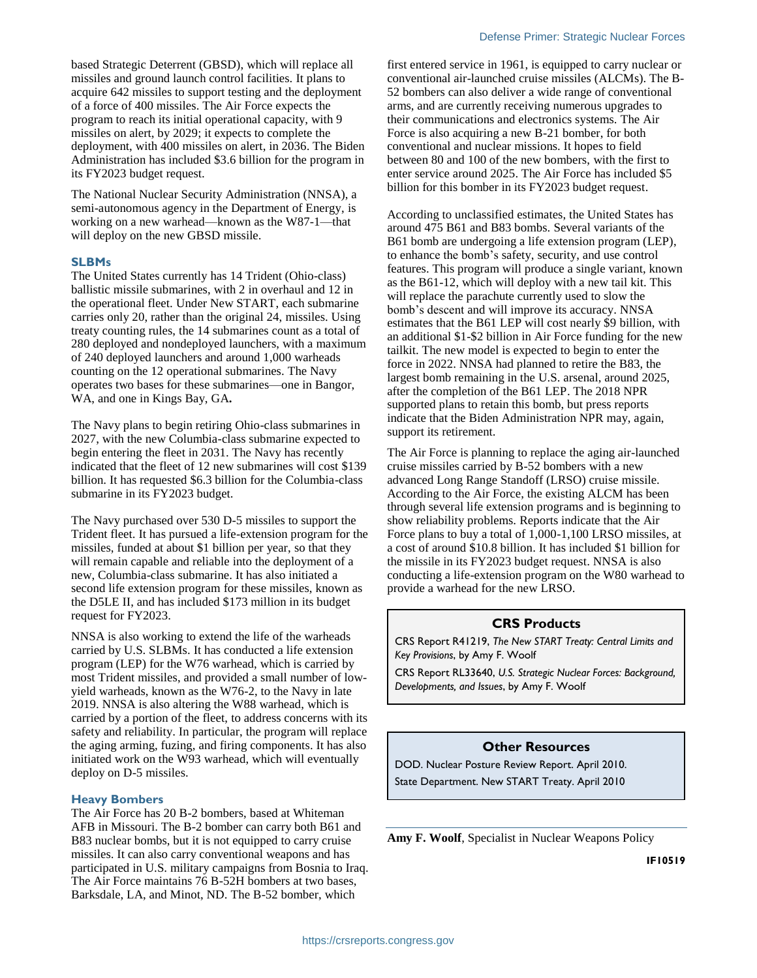based Strategic Deterrent (GBSD), which will replace all missiles and ground launch control facilities. It plans to acquire 642 missiles to support testing and the deployment of a force of 400 missiles. The Air Force expects the program to reach its initial operational capacity, with 9 missiles on alert, by 2029; it expects to complete the deployment, with 400 missiles on alert, in 2036. The Biden Administration has included \$3.6 billion for the program in its FY2023 budget request.

The National Nuclear Security Administration (NNSA), a semi-autonomous agency in the Department of Energy, is working on a new warhead—known as the W87-1—that will deploy on the new GBSD missile.

#### **SLBMs**

The United States currently has 14 Trident (Ohio-class) ballistic missile submarines, with 2 in overhaul and 12 in the operational fleet. Under New START, each submarine carries only 20, rather than the original 24, missiles. Using treaty counting rules, the 14 submarines count as a total of 280 deployed and nondeployed launchers, with a maximum of 240 deployed launchers and around 1,000 warheads counting on the 12 operational submarines. The Navy operates two bases for these submarines—one in Bangor, WA, and one in Kings Bay, GA**.**

The Navy plans to begin retiring Ohio-class submarines in 2027, with the new Columbia-class submarine expected to begin entering the fleet in 2031. The Navy has recently indicated that the fleet of 12 new submarines will cost \$139 billion. It has requested \$6.3 billion for the Columbia-class submarine in its FY2023 budget.

The Navy purchased over 530 D-5 missiles to support the Trident fleet. It has pursued a life-extension program for the missiles, funded at about \$1 billion per year, so that they will remain capable and reliable into the deployment of a new, Columbia-class submarine. It has also initiated a second life extension program for these missiles, known as the D5LE II, and has included \$173 million in its budget request for FY2023.

NNSA is also working to extend the life of the warheads carried by U.S. SLBMs. It has conducted a life extension program (LEP) for the W76 warhead, which is carried by most Trident missiles, and provided a small number of lowyield warheads, known as the W76-2, to the Navy in late 2019. NNSA is also altering the W88 warhead, which is carried by a portion of the fleet, to address concerns with its safety and reliability. In particular, the program will replace the aging arming, fuzing, and firing components. It has also initiated work on the W93 warhead, which will eventually deploy on D-5 missiles.

#### **Heavy Bombers**

The Air Force has 20 B-2 bombers, based at Whiteman AFB in Missouri. The B-2 bomber can carry both B61 and B83 nuclear bombs, but it is not equipped to carry cruise missiles. It can also carry conventional weapons and has participated in U.S. military campaigns from Bosnia to Iraq. The Air Force maintains 76 B-52H bombers at two bases, Barksdale, LA, and Minot, ND. The B-52 bomber, which

first entered service in 1961, is equipped to carry nuclear or conventional air-launched cruise missiles (ALCMs). The B-52 bombers can also deliver a wide range of conventional arms, and are currently receiving numerous upgrades to their communications and electronics systems. The Air Force is also acquiring a new B-21 bomber, for both conventional and nuclear missions. It hopes to field between 80 and 100 of the new bombers, with the first to enter service around 2025. The Air Force has included \$5 billion for this bomber in its FY2023 budget request.

According to unclassified estimates, the United States has around 475 B61 and B83 bombs. Several variants of the B61 bomb are undergoing a life extension program (LEP), to enhance the bomb's safety, security, and use control features. This program will produce a single variant, known as the B61-12, which will deploy with a new tail kit. This will replace the parachute currently used to slow the bomb's descent and will improve its accuracy. NNSA estimates that the B61 LEP will cost nearly \$9 billion, with an additional \$1-\$2 billion in Air Force funding for the new tailkit. The new model is expected to begin to enter the force in 2022. NNSA had planned to retire the B83, the largest bomb remaining in the U.S. arsenal, around 2025, after the completion of the B61 LEP. The 2018 NPR supported plans to retain this bomb, but press reports indicate that the Biden Administration NPR may, again, support its retirement.

The Air Force is planning to replace the aging air-launched cruise missiles carried by B-52 bombers with a new advanced Long Range Standoff (LRSO) cruise missile. According to the Air Force, the existing ALCM has been through several life extension programs and is beginning to show reliability problems. Reports indicate that the Air Force plans to buy a total of 1,000-1,100 LRSO missiles, at a cost of around \$10.8 billion. It has included \$1 billion for the missile in its FY2023 budget request. NNSA is also conducting a life-extension program on the W80 warhead to provide a warhead for the new LRSO.

#### **CRS Products**

CRS Report R41219, *The New START Treaty: Central Limits and Key Provisions*, by Amy F. Woolf

CRS Report RL33640, *U.S. Strategic Nuclear Forces: Background, Developments, and Issues*, by Amy F. Woolf

#### **Other Resources**

DOD. Nuclear Posture Review Report. April 2010. State Department. New START Treaty. April 2010

**Amy F. Woolf**, Specialist in Nuclear Weapons Policy

**IF10519**